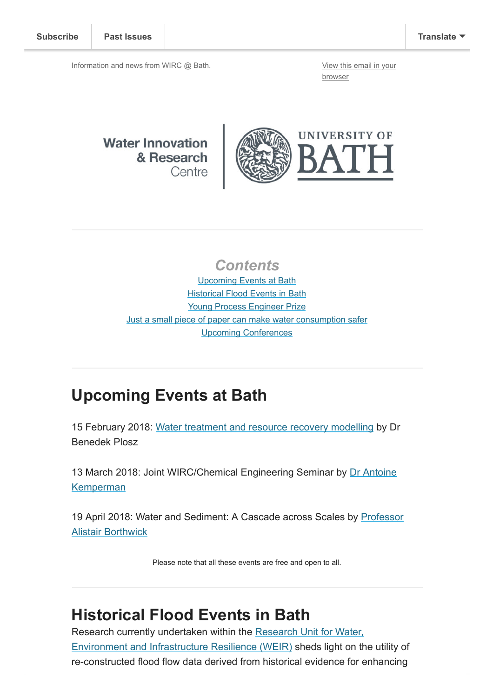Information and news from WIRC @ Bath. [View this email in your](http://mailchi.mp/25a4590b4941/wircjan2018?e=[UNIQID])

browser

#### **Water Innovation** & Research Centre



### **Contents**

[Upcoming Events at Bath](#page-0-0) **[Historical Flood Events in Bath](#page-0-1)** [Young Process Engineer Prize](#page-1-0) [Just a small piece of paper can make water consumption safer](#page-1-1) [Upcoming Conferences](#page-1-2)

### <span id="page-0-0"></span>Upcoming Events at Bath

15 February 2018: [Water treatment and resource recovery modelling](http://www.bath.ac.uk/research/centres/wirc/events/water-modelling.html) by Dr Benedek Plosz

[13 March 2018: Joint WIRC/Chemical Engineering Seminar by Dr Antoine](https://www.utwente.nl/en/tnw/emi/EMI-team/staff/kemperman%20website%202011/) Kemperman

[19 April 2018: Water and Sediment: A Cascade across Scales by Professor](https://www.eng.ed.ac.uk/about/people/prof-alistair-borthwick) Alistair Borthwick

Please note that all these events are free and open to all.

## <span id="page-0-1"></span>Historical Flood Events in Bath

Research currently undertaken within the Research Unit for Water, [Environment and Infrastructure Resilience \(WEIR\) sheds light on th](http://www.bath.ac.uk/ace/research/weir/)e utility of re-constructed flood flow data derived from historical evidence for enhancing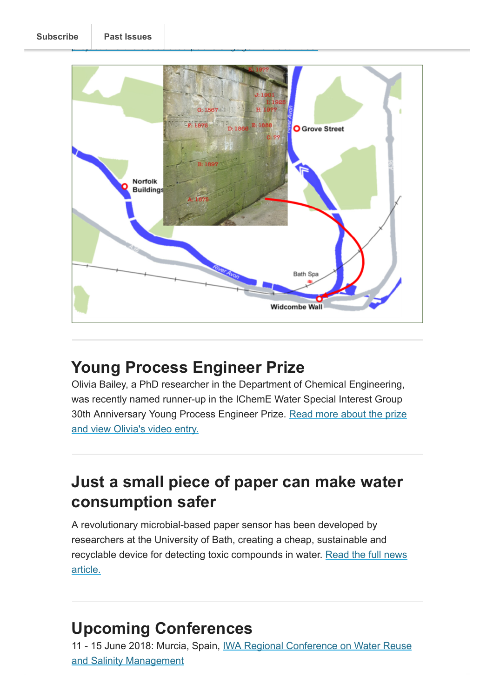



# <span id="page-1-0"></span>Young Process Engineer Prize

Olivia Bailey, a PhD researcher in the Department of Chemical Engineering, was recently named runner-up in the IChemE Water Special Interest Group [30th Anniversary Young Process Engineer Prize. Read more about the prize](http://blogs.bath.ac.uk/water/2018/01/16/young-process-engineer-prize/) and view Olivia's video entry.

## <span id="page-1-1"></span>Just a small piece of paper can make water consumption safer

A revolutionary microbial-based paper sensor has been developed by researchers at the University of Bath, creating a cheap, sustainable and [recyclable device for detecting toxic compounds in water. Read the full news](http://www.bath.ac.uk/news/2018/01/17/just-a-small-piece-of-paper-can-make-water-consumption-safer/) article.

# <span id="page-1-2"></span>Upcoming Conferences

[11 - 15 June 2018: Murcia, Spain, IWA Regional Conference on Water Reuse](http://www.iwa-network.org/events/iwa-regional-conference-on-water-reuse-and-salinity-management/) and Salinity Management